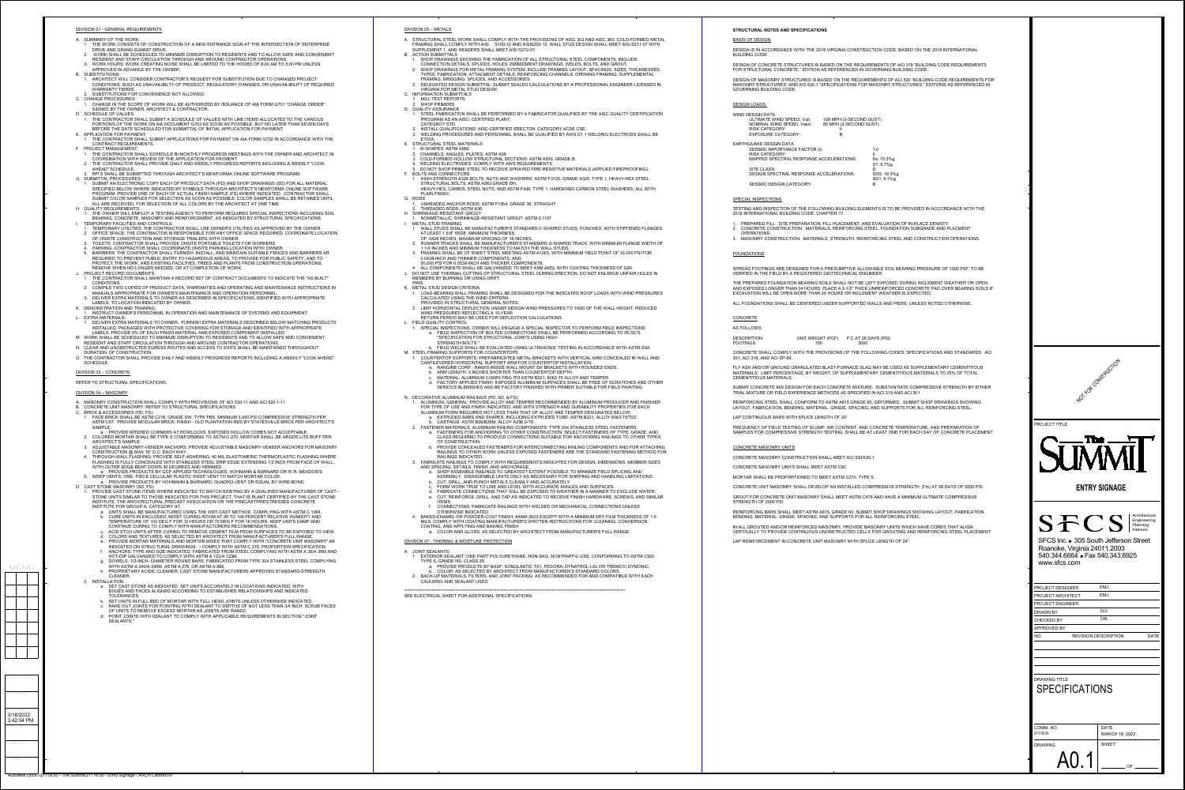

DRAWING NO.

Autodesk Docs://21118.00 - The Summit/21118.00 - Entry Signage - ARCH Central.rv

COMM NO.

PLOT DATE

CADD VERSION

OF DRAWING COMM. NO. SHEET DATE MARCH 18, 2022 21118.00 A0.1

PLOT SCALE

MENU

### ON 05 – METALS

RUCTURAL STEEL WORK SHALL COMPLY WITH THE PROVISIONS OF AISC 303 AND AISC 360. COLD-FORMED METAL FRAMING SHALL COMPLY WITH AISI S100-12 AND AISIS200-12. WALL STUD DESIGN SHALL MEET AISI S211-07 WITH IPPLEMENT 1, AND HEADERS SHALL MEET AISI S212-07.

- SHOP DRAWINGS SHOWING THE FABRICATION OF ALL STRUCTURAL STEEL COMPONENTS, INCLUDE
- CONNECTION DETAILS, SPLICES, HOLES, EMBEDMENT DRAWINGS, WELDS, BOLTS, AND GROUT. 2. SHOP DRAWINGS FOR METAL FRAMING SYSTEM. INCLUDE FRAMING LAYOUT, SPACINGS, SIZES, THICKNESSES,
- TYPES, FABRICATION, ATTACMENT DETAILS, REINFORCING CHANNELS, OPENING FRAMING, SUPPLEMENTAL FRAMING, BRIDGING, SPLICES, AND ACCESSORIES. DELEGATED DESIGN SUBMITTAL: SUBMIT SEALED CALCULATIONS BY A PROFESSIONAL ENGINEER LICENSED IN
- VIRGINIA FOR METAL STUD DESIGN. FORMATION SUBMITTALS
- MILL TEST REPORTS. SHOP PRIMERS.
- JALITY ASSURANCE
- STEEL FABRICATION SHALL BE PERFORMED BY A FABRICATOR QUALIFIED BY THE AISC QUALITY CERTIFICATION PROGRAM AS AN AISC- CERTIFIED PLANT,
- CATEGROY STD. INSTALL QUALIFICATIONS: AISC-CERTIFIED ERECTOR, CATEGORY ACSE CSE.
- WELDING PROCEDURES AND PERSONNEL SHALL BE QUALIFIED BY AWS D1.1 WELDING ELECTRODS SHALL BE E70XX.
- RUCTURAL STEEL MATERIALS 1. W-SHAPES: ASTM A992
- 2. CHANNELS, ANGLES, PLATES: ASTM A36
- COLD-FORMED HOLLOW STRUCTURAL SECTIONS: ASTM A500, GRADE B. WELDING ELECTRODES: COMPLY WITH AWS REQUIREMENTS.
- 
- 5. DO NOT SHOP PRIME STEEL TO RECEIVE SPRAYED FIRE-RESISTIVE MATERIALS (APPLIED FIREPROOFING). DLTS AND CONNECTORS 1. HIGH-STRENGTH A325 BOLTS, NUTS AND WASHERS: ASTM F3125, GRADE A325, TYPE 1, HEAVY-HEX STEEL
- STRUCTURAL BOLTS; ASTM A563 GRADE DH, HEAVY-HEX, CARBOL STEEL NUTS; AND ASTM F436, TYPE 1, HARDENED CARBON STEEL WASHERS, ALL WITH PLAIN FINISH. DS.
- 1. UNHEADED ANCHOR RODS: ASTM F1554, GRADE 36, STRAIGHT.
- 2. THREADED RODS: ASTM A36
- IRINKAGE-RESISTANT GROUT 1. NONMETALLIC, SHRINKAGE-RESISTANT GROUT: ASTM C1107
- ETAL STUD FRAMING 1. WALL STUDS SHALL BE MANUFACTURER'S STANDARD C-SHAPED STUDS, PUNCHED, WITH STIFFENED FLANGES AT LEAST 1 5/8" WIDE, MINIMUM THICKNESS
- OF .0428 INCHES, MAXIMUM SPACING OF 16 INCHES. 2. RUNNER TRACKS SHALL BE MANUFACTURER'S STANDARD U-SHAPED TRACK, WITH MINIMUM FLANGE WIDTH OF 1 1/4 INCHES AND MINIMUM THICKNESS TO MATCH THE WALL STUDS.
- 3. FRAMING SHALL BE OF SHEET STEEL MEETING ASTM A1003, WITH MINIMUM YIELD POINT OF 33,000 PSI FOR 0.0428-INCH AND THINNER COMPONENTS, AND 50,000 PSI FOR 0.0538-INCH AND THICKER COMPONENTS.
- 4. ALL COMPONENTS SHALL BE GALVANIZED TO MEET ASM A653, WITH COATING THICKNESS OF G60. J. DO NOT USE THERMAL CUTTING OF STRUCTURAL STEEL DURING ERECTION. DO NOT ENLARGE UNFAIR HOLES IN EMBERS BY BURNING OR USING DRIFT

### ETAL STUD DESIGN CRITERIA:

SAVE DATE

3/18/2022 3:42:54 PM

<span id="page-0-0"></span>

| DIVISION 01 - GENERAL REQUIREMENTS                                                                                                                                                                                                                                         | DIVISION 05 - METALS                                                    |
|----------------------------------------------------------------------------------------------------------------------------------------------------------------------------------------------------------------------------------------------------------------------------|-------------------------------------------------------------------------|
| A. SUMMARY OF THE WORK:<br>1. THE WORK CONSISTS OF CONSTRUCTION OF A NEW ENTRANCE SIGN AT THE INTERSECTION OF ENTERPRISE                                                                                                                                                   | A. STRUCTURAL STEEL V<br><b>FRAMING SHALL COMI</b>                      |
| DRIVE AND GRAND SUMMIT DRIVE.<br>2. WORK SHALL BE SCHEDULED TO MINIMIZE DISRUPTION TO RESIDENTS AND TO ALLOW SAFE AND CONVENIENT<br>RESIDENT AND STAFF CIRCULATION THROUGH AND AROUND CONTRACTOR OPERATIONS.                                                               | SUPPLEMENT 1, AND I<br><b>B. ACTION SUBMITTALS</b><br>1. SHOP DRAWINGS  |
| 3. WORK HOURS: WORK CREATING NOISE SHALL BE LIMITED TO THE HOURS OF 8:00 AM TO 5:00 PM UNLESS<br>APPROVED IN ADVANCE BY THE OWNER.                                                                                                                                         | <b>CONNECTION DET</b><br>2. SHOP DRAWINGS                               |
| <b>B. SUBSTITUTIONS:</b><br>1. ARCHITECT WILL CONSIDER CONTRACTOR'S REQUEST FOR SUBSTITUTION DUE TO CHANGED PROJECT<br>CONDITIONS, SUCH AS UNAVAILIBILTY OF PRODUCT, REGULATORY CHANGES, OR UNAVAILIBILITY OF REQUIRED                                                     | <b>TYPES, FABRICATI</b><br><b>FRAMING, BRIDGIN</b><br>3. DELEGATED DESI |
| <b>WARRANTY TERMS.</b><br>2. SUBSTITUTIONS FOR CONVENIENCE NOT ALLOWED.                                                                                                                                                                                                    | <b>VIRGINIA FOR MET</b><br>C. INFORMATION SUBMIT                        |
| C. CHANGE PROCEDURES:<br>1. CHANGE IN THE SCOPE OF WORK WILL BE AUTHORIZED BY ISSUANCE OF AIA FORM G701 "CHANGE ORDER"                                                                                                                                                     | 1. MILL TEST REPOR<br>2. SHOP PRIMERS.                                  |
| SIGNED BY THE OWNER, ARCHITECT & CONTRACTOR.<br>D. SCHEDULE OF VALUES:                                                                                                                                                                                                     | D. QUALITY ASSURANCE<br>1. STEEL FABRICATIO                             |
| 1. THE CONTRACTOR SHALL SUBMIT A SCHEDULE OF VALUES WITH LINE ITEMS ALLOCATED TO THE VARIOUS<br>PORTIONS OF THE WORK ON AIA DOCUMENT G703 AS SOON AS POSSIBLE, BUT NO LATER THAN SEVEN DAYS<br>BEFORE THE DATE SCHEDULED FOR SUBMITTAL OF INITIAL APPLICATION FOR PAYMENT. | <b>PROGRAM AS AN</b><br>CATEGROY STD.<br>2. INSTALL QUALIFIC.           |
| E. APPLICATION FOR PAYMENT:<br>1. THE CONTRACTOR SHALL SUBMIT APPLICATIONS FOR PAYMENT ON AIA FORM G702 IN ACCORDANCE WITH THE                                                                                                                                             | 3. WELDING PROCED<br>E70XX.                                             |
| CONTRACT REQUIREMENTS.<br>F. PROJECT MANAGEMENT:                                                                                                                                                                                                                           | E. STRUCTURAL STEEL M<br>1. W-SHAPES: ASTM                              |
| 1. THE CONTRACTOR SHALL SCHEDULE BI-MONTHLY PROGRESS MEETINGS WITH THE OWNER AND ARCHITECT IN<br>COORDINATION WITH REVIEW OF THE APPLICATION FOR PAYMENT.                                                                                                                  | 2. CHANNELS, ANGLE<br>3. COLD-FORMED HO                                 |
| 2. THE CONTRACTOR SHALL PROVIDE DAILY AND WEEKLY PROGRESS REPORTS INCLUDING A WEEKLY "LOOK<br>AHEAD" SCHEDULE.<br>3. RFI'S SHALL BE SUBMITTED THROUGH ARCHITECT'S NEWFORMA ONLINE SOFTWARE PROGRAM.                                                                        | 4. WELDING ELECTRO<br>5. DO NOT SHOP PRII<br>F. BOLTS AND CONNECT       |
| <b>G. SUBMITTAL PROCEDURES:</b><br>1. SUBMIT AN ELECTRONIC COPY EACH OF PRODUCT DATA (PD) AND SHOP DRAWINGS (SD) FOR ALL MATERIAL                                                                                                                                          | 1. HIGH-STRENGTH /<br><b>STRUCTURAL BOL</b>                             |
| SPECIFIED BELOW WHERE INDICATED BY SYMBOLS THROUGH ARCHITECT'S NEWFORMA ONLINE SOFTWARE<br>PROGRAM. PROVIDE ONE OF EACH OF ACTUAL FINISH SAMPLE (FS) WHERE INDICATED. CONTRACTOR SHALL                                                                                     | HEAVY-HEX, CARE<br>PLAIN FINISH.                                        |
| SUBMIT COLOR SAMPLES FOR SELECTION AS SOON AS POSSIBLE. COLOR SAMPLES SHALL BE RETAINED UNTIL<br>ALL ARE RECEIVED, FOR SELECTION OF ALL COLORS BY THE ARCHITECT AT ONE TIME.                                                                                               | G. RODS<br>1. UNHEADED ANCH                                             |
| H. QUALITY REQUIREMENTS:<br>1. THE OWNER WILL EMPLOY A TESTING AGENCY TO PERFORM REQUIRED SPECIAL INSPECTIONS INCLUDING SOIL<br>BEARING, CONCRETE, MASONRY AND REINFORCEMENT, AS INDICATED BY STRUCTURAL SPECIFICATIONS.                                                   | 2. THREADED RODS:<br>H. SHRINKAGE-RESISTAN<br>1. NONMETALLIC, SH        |
| I. TEMPORARY FACILITIES AND CONTROLS:<br>1. TEMPORARY UTILITIES: THE CONTRACTOR SHALL USE OWNER'S UTILITIES AS APPROVED BY THE OWNER.                                                                                                                                      | I. METAL STUD FRAMINO<br>1. WALL STUDS SHAI                             |
| 2. OFFICE SPACE: THE CONTRACTOR IS RESPONSIBLE FOR ANY OFFICE SPACE REQUIRED. COORDINATE LOCATION<br>OF ONSITE CONSTRUCTION AND STORAGE TRAILERS WITH OWNER.                                                                                                               | AT LEAST 1 5/8" WI<br>OF .0428 INCHES, I                                |
| 3. TOILETS: CONTRACTOR SHALL PROVIDE ONSITE PORTABLE TOILETS FOR WORKERS.<br>4. PARKING: CONTRACTOR SHALL COORDINATE ONSITE PARKING LOCATION WITH OWNER.                                                                                                                   | 2. RUNNER TRACKS<br>1 1/4 INCHES AND                                    |
| 5. BARRIERS: THE CONTRACTOR SHALL FURNISH, INSTALL, AND MAINTAIN SUITABLE FENCES AND BARRIERS AR<br>REQUIRED TO PREVENT PUBLIC ENTRY TO HAZARDOUS AREAS, TO PROVIDE FOR PUBLIC SAFETY, AND TO                                                                              | 3. FRAMING SHALL B<br>0.0428-INCH AND T                                 |
| PROTECT THE WORK, AND EXISTING FACILITIES, TREES AND PLANTS FROM CONSTRUCTION OPERATIONS.<br>REMOVE WHEN NO LONGER NEEDED, OR AT COMPLETION OF WORK.<br>J. PROJECT RECORD DOCUMENTS:                                                                                       | 50,000 PSI FOR 0.0<br>4. ALL COMPONENTS<br>J. DO NOT USE THERMA         |
| 1. THE CONTRACTOR SHALL MAINTAIN A RECORD SET OF CONTRACT DOCUMENTS TO INDICATE THE "AS BUILT"<br>CONDITIONS.                                                                                                                                                              | <b>MEMBERS BY BURNIN</b><br>PINS.                                       |
| 2. COMPILE TWO COPIES OF PRODUCT DATA, WARRANTIES AND OPERATING AND MAINTENANCE INSTRUCTIONS IN<br>MANUALS APPROPRIATE FOR OWNER'S MAINTENANCE AND OPERATION PERSONNEL.                                                                                                    | K. METAL STUD DESIGN<br>1. LOAD-BEARING W.                              |
| 3. DELIVER EXTRA MATERIALS TO OWNER AS DESCRIBED IN SPECIFICATIONS, IDENTIFIED WITH APPROPRIATE<br>LABELS, TO LOCATION INDICATED BY OWNER.                                                                                                                                 | <b>CALCULATED USIN</b><br>PROVIDED IN STRI                              |
| K. DEMONSTRATION AND TRAINING:<br>1. INSTRUCT OWNER'S PERSONNEL IN OPERATION AND MAINTENANCE OF SYSTEMS AND EQUIPMENT.<br>L. EXTRA MATERIALS:                                                                                                                              | 2. LIMIT HORIZONTAI<br><b>WIND PRESSURES</b><br><b>RETURN PERIOD M</b>  |
| 1. DELIVER EXTRA MATERIALS TO OWNER. FURNISH EXTRA MATERIALS DESCRIBED BELOW MATCHING PRODUCTS<br>INSTALLED, PACKAGED WITH PROTECTIVE COVERING FOR STORAGE AND IDENTIFIED WITH APPROPRIATE                                                                                 | L. FIELD QUALITY CONTR<br>1. SPECIAL INSPECT                            |
| LABELS. PROVIDE 5% OF EACH FINISH MATERIAL AND EXPOSED COMPONENT INSTALLED.<br>M. WORK SHALL BE SCHEDULED TO MINIMIZE DISRUPTION TO RESIDENTS AND TO ALLOW SAFE AND CONVENIENT                                                                                             | a. FIELD INSF<br>"SPECIFIC/                                             |
| RESIDENT AND STAFF CIRCULATION THROUGH AND AROUND CONTRACTOR OPERATIONS.<br>N. CLEAR AND UNOBSTRUCTED EGRESS ROUTES AND ACCESS TO EXITS SHALL BE MAINTAINED THROUGHOUT                                                                                                     | <b>STRENGTH</b><br>b. FIELD WEL                                         |
| DURATION OF CONSTRUCTION.<br>O. THE CONTRACTOR SHALL PROVIDE DAILY AND WEEKLY PROGRESS REPORTS INCLUDING A WEEKLY "LOOK AHEAD"<br>SCHEDULE.                                                                                                                                | M. STEEL FRAMING SUPF<br>1. COUNTERTOP SUP<br><b>CANTILEVERED HO</b>    |
| DIVISION 03 - CONCRETE                                                                                                                                                                                                                                                     | a. RANGINE (<br>b. ARM LENG                                             |
| REFER TO STRUCTURAL SPECIFICATIONS.                                                                                                                                                                                                                                        | c. MATERIAL:<br>d. FACTORY                                              |
| DIVISION 04 - MASONRY                                                                                                                                                                                                                                                      | <b>SERIOUS E</b><br>N. DECORATIVE ALUMINI                               |
| A. MASONRY CONSTRUCTION SHALL COMPLY WITH PROVISIONS OF ACI 530-11 AND ACI 520.1-11.<br>B. CONCRETE UNIT MASONRY: REFER TO STRUCTURAL SPECIFICATIONS.                                                                                                                      | 1. ALUMINUM, GENEI<br>FOR TYPE OF USE                                   |
| C. BRICK & ACCESSORIES (PD, FS):<br>1. FACE BRICK SHALL BE ASTM C216, GRADE SW, TYPE FBS, MINIMUM 3,000 PSI COMPRESSIVE STRENGTH PER                                                                                                                                       | <b>ALUMINUM FORM</b><br>a. EXTRUDED                                     |
| ASTM C67. PROVIDE MODULAR BRICK, FINISH - OLD PLANTATION RED BY STATESVILLE BRICK PER ARCHITECT'S<br>SAMPLE<br>a. PROVIDE MITERED CORNERS AT ROWLOCKS. EXPOSED HOLLOW CORES NOT ACCEPTABLE.                                                                                | b. CASTINGS<br>2. FASTENER MATER<br>a. FASTENER                         |
| 2. COLORED MORTAR SHALL BE TYPE S CONFORMING TO ASTM C-270. MORTAR SHALL BE ARGOS LITE BUFF PER<br>ARCHITECT'S SAMPLE.                                                                                                                                                     | <b>CLASS RE</b><br>OF CONST                                             |
| 3. ADJUSTABLE MASONRY-VENEER ANCHORS: PROVIDE ADJUSTABLE MASONRY-VENEER ANCHORS FOR MASONRY<br>CONSTRUCTION @ MAX 16" O.C. EACH WAY.                                                                                                                                       | b. PROVIDE 0<br><b>RAILINGS</b>                                         |
| 4. THROUGH-WALL FLASHING: PROVIDE SELF-ADHERING, 40 MIL ELASTOMERIC THERMOPLASTIC FLASHING WHERE<br>FLASHING IS FULLY CONCEALED WITH STAINLESS STEEL DRIP EDGE EXTENDING 1/2 INCH FROM FACE OF WALL,<br>WITH OUTER EDGE BENT DOWN 30 DEGREES AND HEMMED.                   | <b>RAILINGS I</b><br>3. FABRICATE RAILIN<br>AND SPACING, DE             |
| a. PROVIDE PRODUCTS BY GCP APPLIED TECHNOLOGIES, HOHMANN & BARNARD OR W.R. MEADOWS.<br>5. WEEP VENTS: ONE- PIECE CELLULAR PLASTIC WEEP VENT TO MATCH MORTAR COLOR.                                                                                                         | a. SHOP ASS<br><b>ASSEMBLY</b>                                          |
| a. PROVIDE PRODUCTS BY HOHMANN & BARNARD; QUADRO-VENT OR EQUAL BY WIRE-BOND.<br>D. CAST STONE MASONRY (SD, FS):                                                                                                                                                            | b. CUT, DRILL<br>c. FORM WOI                                            |
| 1. PROVIDE CAST STONE ITEMS WHERE INDICATED TO MATCH EXISTING BY A QUALIFIED MANUFACTURER OF CAST-<br>STONE UNITS SIMILAR TO THOSE INDICATED FOR THIS PROJECT, THAT IS PLANT CERTIFIED BY THE CAST STONE                                                                   | d. FABRICATI<br>e. CUT, REINI                                           |
| INSTITUTE, THE ARCHITECTURAL PRECAST ASSOCIATION OR THE PRECAST/PRESTRESSED CONCRETE<br>INSTITUTE FOR GROUP A, CATEGORY AT.<br>a. UNITS SHALL BE MANUFACTURED USING THE WET-CAST METHOD. COMPLYING WITH ASTM C 1364.                                                       | ITEMS.<br>f. CONNECTI<br><b>OTHERWIS</b>                                |
| b. CURE UNITS IN ENCLOSED, MOIST CURING ROOM AT 95 TO 100 PERCENT RELATIVE HUMIDITY AND<br>TEMPERATURE OF 100 DEG F FOR 12 HOURS OR 70 DEG F FOR 16 HOURS. KEEP UNITS DAMP AND                                                                                             | 4. BAKED-ENAMEL O<br>MILS. COMPLY WIT                                   |
| CONTINUE CURING TO COMPLY WITH MANUFACTURERS RECOMMENDATIONS.<br>c. ACID ETCH UNITS AFTER CURING TO REMOVE CEMENT FILM FROM SURFACES TO BE EXPOSED TO VIEW.                                                                                                                | <b>COATING, AND AP</b><br>a. COLOR AN                                   |
| d. COLORS AND TEXTURES: AS SELECTED BY ARCHITECT FROM MANUFACTURER'S FULL RANGE.<br>e. PROVIDE MORTAR MATERIALS AND MORTAR MIXES THAT COMPLY WITH "CONCRETE UNIT MASONRY" AS<br>INDICATED ON STRUCTURAL DRAWINGS. . COMPLY WITH ASTM C 270, PROPORTION SPECIFICATION.      | DIVISION 07 - THERMAL &                                                 |
| f. ANCHORS: TYPE AND SIZE INDICATED, FABRICATED FROM STEEL COMPLYING WITH ASTM A 36/A 36M AND<br>HOT-DIP GALVANIZED TO COMPLY WITH ASTM A 123/A 123M.                                                                                                                      | A. JOINT SEALANTS:<br>1. EXTERIOR SEALAN                                |
| g. DOWELS: 1/2-INCH- DIAMETER ROUND BARS, FABRICATED FROM TYPE 304 STAINLESS STEEL COMPLYING<br>WITH ASTM A 240/A 240M, ASTM A 276, OR ASTM A 666.                                                                                                                         | <b>TYPE S, GRADE NS</b><br>a. PROVIDE F                                 |
| h. PROPRIETARY ACIDIC CLEANER: CAST STONE MANUFACTURERS APPROVED STANDARD-STRENGTH<br>CLEANER.                                                                                                                                                                             | b. COLOR: AS<br>2. BACK-UP MATERIA                                      |
| 2. INSTALLATION:<br>a. SET CAST STONE AS INDICATED. SET UNITS ACCURATELY IN LOCATIONS INDICATED, WITH                                                                                                                                                                      | <b>CAULKING AND SE</b><br>***********************************           |
| EDGES AND FACES ALIGNED ACCORDING TO ESTABLISHED RELATIONSHIPS AND INDICATED<br>TOLERANCES.<br>b. SET UNITS IN FULL BED OF MORTAR WITH FULL HEAD JOINTS UNLESS OTHERWISE INDICATED.                                                                                        | SEE ELECTRICAL SHEET F                                                  |
| c. RAKE OUT JOINTS FOR POINTING WITH SEALANT TO DEPTHS OF NOT LESS THAN 3/4 INCH. SCRUB FACES<br>OF UNITS TO REMOVE EXCESS MORTAR AS JOINTS ARE RAKED.                                                                                                                     |                                                                         |
| d. POINT JOINTS WITH SEALANT TO COMPLY WITH APPLICABLE REQUIREMENTS IN SECTION "JOINT<br><b>SEALANTS."</b>                                                                                                                                                                 |                                                                         |
|                                                                                                                                                                                                                                                                            |                                                                         |
|                                                                                                                                                                                                                                                                            |                                                                         |
|                                                                                                                                                                                                                                                                            |                                                                         |
|                                                                                                                                                                                                                                                                            |                                                                         |
|                                                                                                                                                                                                                                                                            |                                                                         |
|                                                                                                                                                                                                                                                                            |                                                                         |
|                                                                                                                                                                                                                                                                            |                                                                         |
|                                                                                                                                                                                                                                                                            |                                                                         |
|                                                                                                                                                                                                                                                                            |                                                                         |
|                                                                                                                                                                                                                                                                            |                                                                         |
|                                                                                                                                                                                                                                                                            |                                                                         |

ALUMINUM, GENERAL: PROVIDE ALLOY AND TEMPER RECOMMENDED BY ALUMINUM PRODUCER AND FINISHER FOR TYPE OF USE AND FINISH INDICATED, AND WITH STRENGTH AND DURABILITY PROPERTIES FOR EACH ALUMINUM FORM REQUIRED NOT LESS THAN THAT OF ALLOY AND TEMPER DESIGNATED BELOW. a. EXTRUDED BARS AND SHAPES, INCLUDING EXTRUDED TUBE: ASTM B221, ALLOY 6063-T5/T52.

BACK-UP MATERIALS, FILTERS, AND JOINT PACKING: AS RECOMMENDED FOR AND COMPATIBLE WITH EACH CAULKING AND SEALANT USED.

\*\*\*\*\*\*\*\*\*\*\*\*\*\*\*\*\*\*\*\*\*\*\*\*\*\*\*\*\*\*\*\*\*\*\*\*\*\*\*\*\*\*\*\*\*\*\*\*\*\*\*\*\*\*\*\*\*\*\*\*\*\*\*\*\*\*\*\*\*\*\*\*\*\*\*\*\*\*\*\*\*\*\*\*\*\*\*\*\*\*\*\*\*\*\*\*\*\*\*\*\*\*\*\*\*\*\*\*\*\*\*\*\*\*\*\*\*\*\*\*\*\*\*\*\*\*\*\*\* LECTRICAL SHEET FOR ADDITIONAL SPECIFICATIONS.

WIND DESIGN DATA ULTIMATE WIND SPEED, Vult: 109 MPH (3-SECOND GUST) NOMINAL WIND SPEED, Vasd: 85 MPH (3-SECOND GUST) **RISK CATEGORY: EXPOSURE CATEGORY:** 

EARTHQUAKE DESIGN DATA SEISMIC IMPORTANCE FACTOR (I): 1.0 **RISK CATEGORY:** 

> SITE CLASS: D<br>DESIGN SPECTRAL RESPONSE ACCELERATIONS: SDS: 16.3%g DESIGN SPECTRAL RESPONSE ACCELERATIONS: SEISMIC DESIGN CATEGORY: B

SPECIAL INSPECTIONS

PREPARED FILL: SITE PREPARATION, FILL PLACEMENT, AND EVALUATION OF IN-PLACE DENSITY. 2. CONCRETE CONSTRUCTION: MATERIALS, REINFORCING STEEL, FOUNDATION SUBGRADE AND PLACMENT

 1. LOAD-BEARING WALL FRAMING SHALL BE DESIGNED FOR THE INDICATED ROOF LOADS WITH WIND PRESSURES CALCULATED USING THE WIND CRITERIA

- PROVIDED IN STRUCTURAL GENERAL NOTES. 2. LIMIT HORIZONTAL DEFLECTION UNDER DESIGN WIND PRESSURES TO 1/600 OF THE WALL HEIGHT. REDUCED WIND PRESSURES REFLECTING A 10-YEAR
- RETURN PERIOD MAY BE USED FOR DEFLECTION CALCULATIONS. **ELD QUALITY CONTROL**
- SPECIAL INSPECTIONS: OWNER WILL ENGAGE A SPECIAL INSPECTOR TO PERFORM FIELD INSPECTIONS. a. FIELD INSPECTION OF BOLTED CONNECTIONS SHALL BE PERFORMED ACCORDING TO RCSC'S "SPECIFICATION FOR STRUCTURAL JOINTS USING HIGH-

### STRENGTH BOLTS."

- b. FIELD WELD SHALL BE EVALUATED USING ULTRASONIC TESTING IN ACCORDANCE WITH ASTM E94. **EEL FRAMING SUPPORTS FOR COUNTERTOPS** 1. COUNTERTOP SUPPORTS: PREFABRICATED METAL BRACKETS WITH VERTICAL ARM CONCEALED IN WALL AND CANTILEVERED HORIZONTAL SUPPORT ARM FOR COUNTERTOP INSTALLATION.
- a. RANGINE CORP.; RAKKS INSIDE WALL MOUNT EH BRACKETS WITH ROUNDED ENDS. b. ARM LENGTH: 3 INCHES SHORTER THAN COUNTERTOP DEPTH.
- c. MATERIAL: ALUMNIUM COMPLYING ITH ASTM B221, 6063-T5 ALLOY AND TEMPER.
- d. FACTORY APPLIED FINISH: EXPOSED ALUMINUM SURFACES SHALL BE FREE OF SCRATCHES AND OTHER SERIOUS BLEMISHES AND BE FACTORY FINISHED WITH PRIMER SUITABLE FOR FIELD PAINTING.

### CORATIVE ALUMINUM RAILINGS (PD, SD, & FS):

b. CASTINGS: ASTM B26/B26M, ALLOY A356.0-T6. 2. FASTENER MATERIALS, ALUMINUM RAILING COMPONENTS: TYPE 304 STAINLESS STEEL FASTENERS. a. FASTENERS FOR ANCHORING TO OTHER CONSTRUCTION: SELECT FASTENERS OF TYPE, GRADE, AND

- CLASS REQUIRED TO PRODUCE CONNECTIONS SUITABLE FOR ANCHORING RAILINGS TO OTHER TYPES OF CONSTRUCTION. b. PROVIDE CONCEALED FASTENERS FOR INTERCONNECTING RAILING COMPONENTS AND FOR ATTACHING
- RAILINGS TO OTHER WORK UNLESS EXPOSED FASTENERS ARE THE STANDARD FASTENING METHOD FOR RAILINGS INDICATED.

3. FABRICATE RAILINGS TO COMPLY WITH REQUIREMENTS INDICATED FOR DESIGN, DIMENSIONS, MEMBER SIZES AND SPACING, DETAILS, FINISH, AND ANCHORAGE.

- a. SHOP ASSEMBLE RAILINGS TO GREATEST EXTENT POSSIBLE TO MINIMIZE FIELD SPLICING AND ASSEMBLY. DISASSEMBLE UNITS ONLY AS NECESSARY FOR SHIPPING AND HANDLING LIMITATIONS.
- b. CUT, DRILL, AND PUNCH METALS CLEANLY AND ACCURATELY. c. FORM WORK TRUE TO LINE AND LEVEL WITH ACCURATE ANGLES AND SURFACES.
- d. FABRICATE CONNECTIONS THAT WILL BE EXPOSED TO WEATHER IN A MANNER TO EXCLUDE WATER.
- e. CUT, REINFORCE, DRILL, AND TAP AS INDICATED TO RECEIVE FINISH HARDWARE, SCREWS, AND SIMILAR **ITEMS**
- f. CONNECTIONS: FABRICATE RAILINGS WITH WELDED OR MECHANICAL CONNECTIONS UNLESS OTHERWISE INDICATED.

4. BAKED-ENAMEL OR POWDER-COAT FINISH: AAMA 2603 EXCEPT WITH A MINIMUM DRY FILM THICKNESS OF 1.5 MILS. COMPLY WITH COATING MANUFACTURER'S WRITTEN INSTRUCTIONS FOR CLEANING, CONVERSION COATING, AND APPLYING AND BAKING FINISH.

a. COLOR AND GLOSS: AS SELECTED BY ARCHITECT FROM MANUFACTURER'S FULL RANGE.

### ON 07 - THERMAL & MOISTURE PROTECTION

### **INT SEALANTS:**

1. EXTERIOR SEALANT: ONE PART POLYURETHANE, NON-SAG, NONTRAFFIC-USE, CONFORMING TO ASTM C920 TYPE S, GRADE NS, CLASS 25. a. PROVIDE PRODUCTS BY BASF; SONOLASTIC TX1, PECORA; DYNATROL I-XL OR TREMCO; DYMONIC. b. COLOR: AS SELECTED BY ARCHITECT FROM MANUFACTURER'S STANDARD COLORS.

**STRUCTURAL NOTES AND SPECIFICATIONS** BASIS OF DESIGN

DESIGN IS IN ACCORDANCE WITH THE 2018 VIRGINIA CONSTRUCTION CODE, BASED ON THE 2018 INTERNATIONAL

# BUILDING CODE.

DESIGN OF CONCRETE STRUCTURES IS BASED ON THE REQUIREMENTS OF ACI 318 "BUILDING CODE REQUIREMENTS

MAPPED SPECTRAL RESPONSE ACCELERATIONS: Ss: 15.3%g

# FOR STRUCTURAL CONCRETE," EDITION AS REFERENCED IN GOVERNING BUILDING CODE.

DESIGN OF MASONRY STRUCTURES IS BASED ON THE REQUIREMENTS OF ACI 530 "BUILDING CODE REQUIREMENTS FOR MASONRY STRUCTURES" AND ACI 530.1 "SPECIFICATIONS FOR MASONRY STRUCTURES," EDITIONS AS REFERENCED IN GOVERNING BUILDING CODE.

### DESIGN LOADS:

S1: 5.7%g SD1: 9.1%g

TESTING AND INSPECTION OF THE FOLLOWING BUILDING ELEMENTS IS TO BE PROVIDED IN ACCORDANCE WITH THE 2018 INTERNATIONAL BUILDING CODE, CHAPTER 17.

- OPERATIONS.
- 

3. MASONRY CONSTRUCTION: MATERIALS, STRENGTH, REINFORCING STEEL AND CONSTRUCTION OPERATIONS.

### FOUNDATIONS

SPREAD FOOTINGS ARE DESIGNED FOR A PRESUMPTIVE ALLOWABLE SOIL BEARING PRESSURE OF 1500 PSF, TO BE VERIFIED IN THE FIELD BY A REGISTERED GEOTECHNICAL ENGINEER.

THE PREPARED FOUNDATION BEARING SOILS SHALL NOT BE LEFT EXPOSED DURING INCLEMENT WEATHER OR OPEN AND EXPOSED LONGER THAN 24 HOURS. PLACE A 2-1/2" THICK UNREINFORCED CONCRETE PAD OVER BEARING SOILS IF EXCAVATION WILL BE OPEN MORE THAN 24 HOURS OR INCLEMENT WEATHER IS EXPECTED. ALL FOUNDATIONS SHALL BE CENTERED UNDER SUPPORTED WALLS AND PIERS, UNLESS NOTED OTHERWISE.

### **CONCRETE**

AS FOLLOWS:

DESCRIPTION UNIT WEIGHT (PCF) F'C AT 28 DAYS (PSI)

| <b>DESCRIPTION</b> | UNIT WEIGHT (PCF) | F'C AT 28 I |
|--------------------|-------------------|-------------|
| FOOTINGS           | 150               | 3000        |
|                    |                   |             |

CONCRETE SHALL COMPLY WITH THE PROVISIONS OF THE FOLLOWING CODES, SPECIFICATIONS AND STANDARDS: ACI

301, ACI 318, AND ACI SP-66.

FLY ASH AND/OR GROUND GRANULATED BLAST-FURNACE SLAG MAY BE USED AS SUPPLEMENTARY CEMENTITIOUS MATERIALS. LIMIT PERCENTAGE, BY WEIGHT, OF SUPPLEMENTARY CEMENTITIOUS MATERIALS TO 25% OF TOTAL CEMENTITIOUS MATERIALS.

SUBMIT CONCRETE MIX DESIGN FOR EACH CONCRETE MIXTURE. SUBSTANTIATE COMPRESSIVE STRENGTH BY EITHER TRIAL MIXTURE OR FIELD EXPERIENCE METHODS AS SPECIFIED IN ACI 318 AND ACI 301

REINFORCING STEEL SHALL CONFORM TO ASTM A615 GRADE 60, DEFORMED. SUBMIT SHOP DRAWINGS SHOWING LAYOUT, FABRICATION, BENDING, MATERIAL, GRADE, SPACING, AND SUPPORTS FOR ALL REINFORCING STEEL. LAP CONTINUOUS BARS WITH SPLICE LENGTH OF 30"

FREQUENCY OF FIELD TESTING OF SLUMP, AIR CONTENT, AND CONCRETE TEMPERATURE, AND PREPARATION OF SAMPLES FOR COMPRESSIVE STRENGTH TESTING, SHALL BE AT LEAST ONE FOR EACH DAY OF CONCRETE PLACEMENT.

CONCRETE MASONRY UNITS

CONCRETE MASONRY CONSTRUCTION SHALL MEET ACI 530/530.1. CONCRETE MASONRY UNITS SHALL MEET ASTM C90. MORTAR SHALL BE PROPORTIONED TO MEET ASTM C270, TYPE S.

CONCRETE UNIT MASONRY SHALL DEVELOP AN INSTALLED COMPRESSIVE STRENGTH (f'm) AT 28 DAYS OF 2000 PSI. GROUT FOR CONCRETE UNIT MASONRY SHALL MEET ASTM C476 AND HAVE A MINIMUM ULTIMATE COMPRESSIVE STRENGTH OF 2000 PSI.

REINFORCING BARS SHALL MEET ASTM A615, GRADE 60. SUBMIT SHOP DRAWINGS SHOWING LAYOUT, FABRICATION, BENDING, MATERIAL, GRADE, SPACING, AND SUPPORTS FOR ALL REINFORCING STEEL.

IN ALL GROUTED AND/OR REINFORCED MASONRY, PROVIDE MASONRY UNITS WHICH HAVE CORES THAT ALIGN VERTICALLY TO PROVIDE CONTINUOUS UNOBSTRUCTED CELLS FOR GROUTING AND REINFORCING STEEL PLACEMENT. LAP REINFORCEMENT IN CONCRETE UNIT MASONRY WITH SPLICE LENGTH OF 24".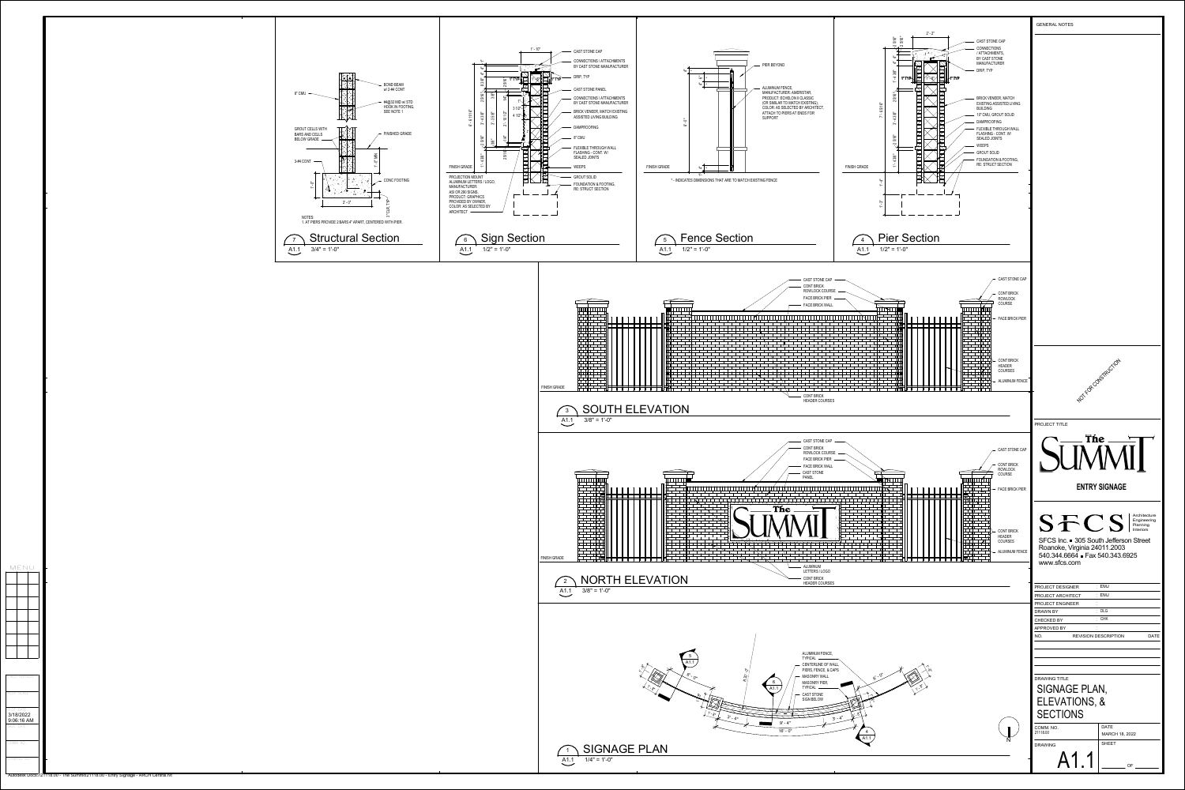

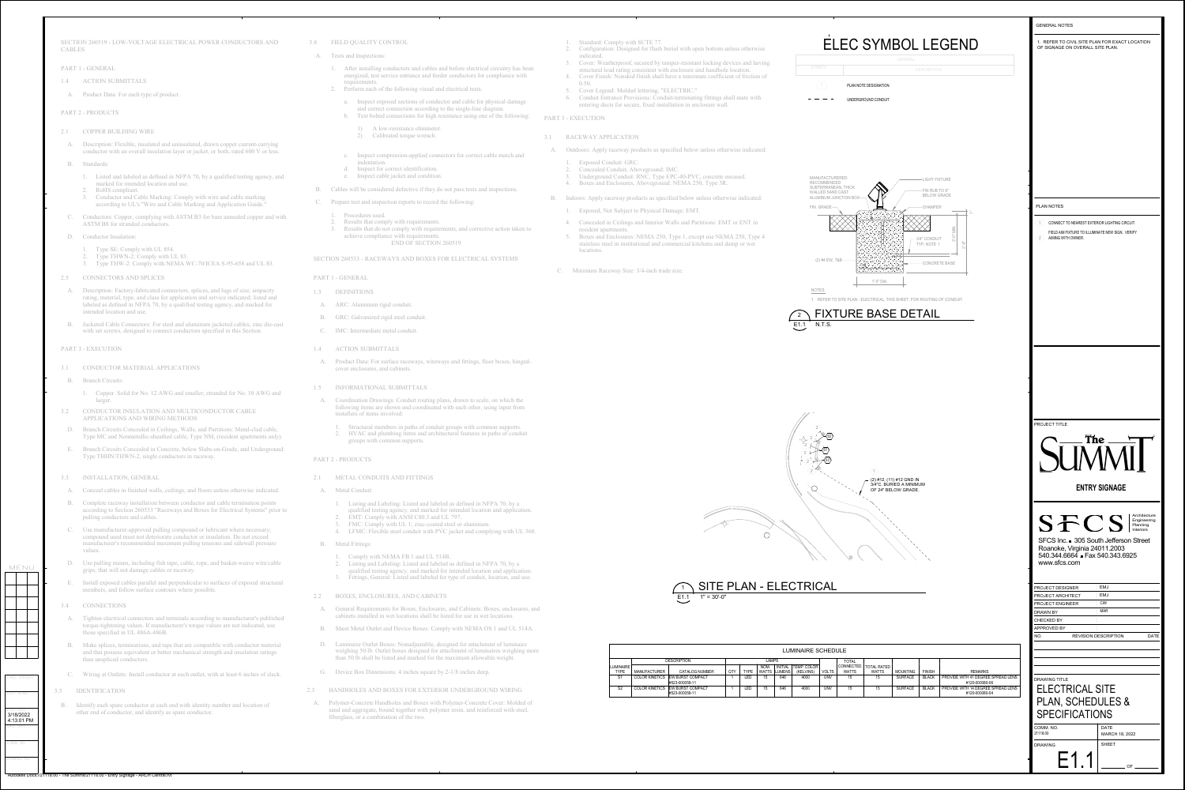

DRAWING NO.

COMM NO.

CADD VERSION

PLOT SCALE

MENU

SAVE DATE

PLOT DATE3/18/2022

4:13:01 PM

Autodesk Docs://21118.00 - The Summit/21118.00 - Entry Signage - ARCH Central.rvt

SECTION 260519 - LOW-VOLTAGE ELECTRICAL POWER CONDUCTORS AND CABLES

- PART 1 GENERAL
- 1.4 ACTION SUBMITTALS
- A. Product Data: For each type of product.

PART 2 - PRODUCTS

- 2.1 COPPER BUILDING WIRE
- A. Description: Flexible, insulated and uninsulated, drawn copper current-carrying conductor with an overall insulation layer or jacket, or both, rated 600 V or less.
- B. Standards:
	- 1. Listed and labeled as defined in NFPA 70, by a qualified testing agency, and marked for intended location and use.
	- 2. RoHS compliant. 3. Conductor and Cable Marking: Comply with wire and cable marking according to UL's "Wire and Cable Marking and Application Guide."
- C. Conductors: Copper, complying with ASTM B3 for bare annealed copper and with ASTM B8 for stranded conductors.
- D. Conductor Insulation:
	- 1. Type SE: Comply with UL 854.
	- 2. Type THWN-2: Comply with UL 83.
- 3. Type THW-2: Comply with NEMA WC-70/ICEA S-95-658 and UL 83.
- 2.5 CONNECTORS AND SPLICES
- A. Description: Factory-fabricated connectors, splices, and lugs of size, ampacity rating, material, type, and class for application and service indicated; listed and labeled as defined in NFPA 70, by a qualified testing agency, and marked for intended location and use.
- B. Jacketed Cable Connectors: For steel and aluminum jacketed cables, zinc die-cast with set screws, designed to connect conductors specified in this Section.
- PART 3 EXECUTION
- 3.1 CONDUCTOR MATERIAL APPLICATIONS
- B. Branch Circuits:
	- 1. Copper. Solid for No. 12 AWG and smaller; stranded for No. 10 AWG and larger.
- 3.2 CONDUCTOR INSULATION AND MULTICONDUCTOR CABLE APPLICATIONS AND WIRING METHODS
- D. Branch Circuits Concealed in Ceilings, Walls, and Partitions: Metal-clad cable, Type MC and Nonmetallic-sheathed cable, Type NM, (resident apartments only).
- E. Branch Circuits Concealed in Concrete, below Slabs-on-Grade, and Underground: Type THHN/THWN-2, single conductors in raceway.
- 3.3 INSTALLATION, GENERAL
- A. Conceal cables in finished walls, ceilings, and floors unless otherwise indicated.
- B. Complete raceway installation between conductor and cable termination points according to Section 260533 "Raceways and Boxes for Electrical Systems" prior to pulling conductors and cables.
- C. Use manufacturer-approved pulling compound or lubricant where necessary; compound used must not deteriorate conductor or insulation. Do not exceed manufacturer's recommended maximum pulling tensions and sidewall pressure values.
- D. Use pulling means, including fish tape, cable, rope, and basket-weave wire/cable grips, that will not damage cables or raceway.
- E. Install exposed cables parallel and perpendicular to surfaces of exposed structural members, and follow surface contours where possible.



### 3.4 CONNECTIONS

- A. Tighten electrical connectors and terminals according to manufacturer's published torque-tightening values. If manufacturer's torque values are not indicated, use those specified in UL 486A-486B.
- B. Make splices, terminations, and taps that are compatible with conductor material and that possess equivalent or better mechanical strength and insulation ratings than unspliced conductors.
- C. Wiring at Outlets: Install conductor at each outlet, with at least 6 inches of slack.

3.5 IDENTIFICATION

B. Identify each spare conductor at each end with identity number and location of other end of conductor, and identify as spare conductor.

### 3.8 FIELD QUALITY CONTROL

- A. Tests and Inspections:
	- 1. After installing conductors and cables and before electrical circuitry has been energized, test service entrance and feeder conductors for compliance with requirements.
	-
	- a. Inspect exposed sections of conductor and cable for physical damage and correct connection according to the single-line diagram. b. Test bolted connections for high resistance using one of the following: PART 3 - EXECUTION
		- 1) A low-resistance ohmmeter. 2) Calibrated torque wrench.
	- c. Inspect compression-applied connectors for correct cable match and
	- indentation.d. Inspect for correct identification.
	- e. Inspect cable jacket and condition.
- B. Cables will be considered defective if they do not pass tests and inspections.
- C. Prepare test and inspection reports to record the following:
	- 1. Procedures used.
- 2. Results that comply with requirements. achieve compliance with requirements.
	-

- 2. Perform each of the following visual and electrical tests:
	-
	-
	-
- 3. Results that do not comply with requirements, and corrective action taken to END OF SECTION 260519
- SECTION 260533 RACEWAYS AND BOXES FOR ELECTRICAL SYSTEMS

|                                  |                       |                                           |            |             |                      |                          | <b>LUMINAIRE SC</b>      |  |
|----------------------------------|-----------------------|-------------------------------------------|------------|-------------|----------------------|--------------------------|--------------------------|--|
|                                  | <b>DESCRIPTION</b>    |                                           |            | LAMPS       |                      |                          |                          |  |
| <b>ILUMINAIRE</b><br><b>TYPE</b> | <b>MANUFACTURER</b>   | <b>CATALOG NUMBER</b>                     | <b>QTY</b> | <b>TYPE</b> | NOM.<br><b>WATTS</b> | <b>INITIAL</b><br>LUMENS | TEMP. COLOR<br>(KELVINS) |  |
| S <sub>1</sub>                   | <b>COLOR KINETICS</b> | <b>EW BURST COMPACT</b><br>#523-000059-11 |            | LED         | 15                   | 646                      | 4000                     |  |
| S <sub>2</sub>                   | <b>COLOR KINETICS</b> | EW BURST COMPACT<br>#523-000059-11        |            | ∟ED.        | 15                   | 646                      | 4000                     |  |





# PART 1 - GENERAL

- 1.3 DEFINITIONS
- A. ARC: Aluminum rigid conduit.
- B. GRC: Galvanized rigid steel conduit.
- C. IMC: Intermediate metal conduit.

# 1.4 ACTION SUBMITTALS

A. Product Data: For surface raceways, wireways and fittings, floor boxes, hinged-

A. Coordination Drawings: Conduit routing plans, drawn to scale, on which the following items are shown and coordinated with each other, using input from

- cover enclosures, and cabinets.
- 1.5 INFORMATIONAL SUBMITTALS
- installers of items involved:
- groups with common supports.

1. Structural members in paths of conduit groups with common supports. 2. HVAC and plumbing items and architectural features in paths of conduit

- **ITTINGS**
- Ited and labeled as defined in NFPA 70, by a and marked for intended location and application. I C80.3 and UL 797.
- ; zinc-coated steel or aluminum. 1. A. Lewith PVC jacket and complying with UL 360.
- 1 and UL 514B. ted and labeled as defined in NFPA 70, by a and marked for intended location and application. and labeled for type of conduit, location, and use.
- D CABINETS
- res. Enclosures, and Cabinets: Boxes, enclosures, and cabinets installed in wet locations shall be listed for use in wet locations.
	- Boxes: Comply with NEMA OS 1 and UL 514A.
	- diquitable, designed for attachment of luminaire esigned for attachment of luminaires weighing more narked for the maximum allowable weight.
	- thes square by  $2-1/8$  inches deep.
- 2.3 HANDHOLES AND BOXES FOR EXTERIOR UNDERGROUND WIRING
	- d Boxes with Polymer-Concrete Cover: Molded of and also are with polymer resin, and reinforced with steel,

# PART 2 - PRODUCTS

| $\cdot$   | METAL CONDUITS AND FITTING                                                                                                                                                                      |  |  |  |
|-----------|-------------------------------------------------------------------------------------------------------------------------------------------------------------------------------------------------|--|--|--|
| A.        | <b>Metal Conduit:</b>                                                                                                                                                                           |  |  |  |
|           | Listing and Labeling: Listed and<br>$1.$<br>qualified testing agency, and ma<br>EMT: Comply with ANSI C80.3<br>2.<br>3.<br>FMC: Comply with UL 1; zinc-<br>LFMC: Flexible steel conduit w<br>4. |  |  |  |
| <b>B.</b> | <b>Metal Fittings:</b>                                                                                                                                                                          |  |  |  |
|           | Comply with NEMA FB 1 and U<br>1.<br>Listing and Labeling: Listed and<br>2.<br>qualified testing agency, and ma<br>Fittings, General: Listed and lab<br>3.                                      |  |  |  |
| 2         | BOXES, ENCLOSURES, AND CAE                                                                                                                                                                      |  |  |  |
| $A$ .     | General Requirements for Boxes, Enc<br>cabinets installed in wet locations sha                                                                                                                  |  |  |  |
| <b>B.</b> | <b>Sheet Metal Outlet and Device Boxes</b>                                                                                                                                                      |  |  |  |
| D.        | Luminaire Outlet Boxes: Nonadjustab<br>weighing 50 lb. Outlet boxes designed<br>than 50 lb shall be listed and marked:                                                                          |  |  |  |
| G.        | Device Box Dimensions: 4 inches squ                                                                                                                                                             |  |  |  |
|           | <b>HANDHOLES AND BOXES FOR EXT</b>                                                                                                                                                              |  |  |  |
|           | Polymer-Concrete Handholes and Boxes<br>sand and aggregate, bound together with<br>fiberglass, or a combination of the two.                                                                     |  |  |  |

- 1. Standard: Comply with SCTE 77.
- 2. Configuration: Designed for flush burial with open bottom unless otherwise indicated.
- 3. Cover: Weatherproof, secured by tamper-resistant locking devices and having structural load rating consistent with enclosure and handhole location.
- 4. Cover Finish: Nonskid finish shall have a minimum coefficient of friction of 0.50.
- 5. Cover Legend: Molded lettering, "ELECTRIC."
- 6. Conduit Entrance Provisions: Conduit-terminating fittings shall mate with entering ducts for secure, fixed installation in enclosure wall.
- 
- 3.1 RACEWAY APPLICATION
- A. Outdoors: Apply raceway products as specified below unless otherwise indicated:
	- 1. Exposed Conduit: GRC.
	- 2. Concealed Conduit, Aboveground: IMC. 3. Underground Conduit: RNC, Type EPC-40-PVC, concrete encased.
	- 4. Boxes and Enclosures, Aboveground: NEMA 250, Type 3R.
- B. Indoors: Apply raceway products as specified below unless otherwise indicated:
	- 1. Exposed, Not Subject to Physical Damage: EMT.
	- 4. Concealed in Ceilings and Interior Walls and Partitions: EMT or ENT in
	- resident apartments. 5. Boxes and Enclosures: NEMA 250, Type 1, except use NEMA 250, Type 4 stainless steel in institutional and commercial kitchens and damp or wet locations.
- C. Minimum Raceway Size: 3/4-inch trade size.

- 
- 
-